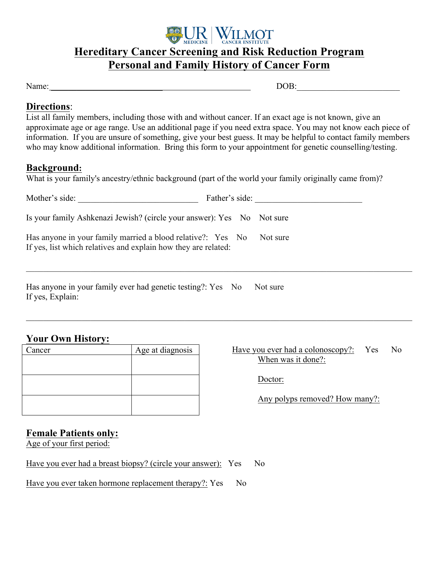

# **Hereditary Cancer Screening and Risk Reduction Program Personal and Family History of Cancer Form**

Name:  $\Box$ 

#### **Directions**:

List all family members, including those with and without cancer. If an exact age is not known, give an approximate age or age range. Use an additional page if you need extra space. You may not know each piece of information. If you are unsure of something, give your best guess. It may be helpful to contact family members who may know additional information. Bring this form to your appointment for genetic counselling/testing.

#### **Background:**

What is your family's ancestry/ethnic background (part of the world your family originally came from)?

| Mother's side:                                                                                                                | Father's side: |
|-------------------------------------------------------------------------------------------------------------------------------|----------------|
| Is your family Ashkenazi Jewish? (circle your answer): Yes No Not sure                                                        |                |
| Has anyone in your family married a blood relative?: Yes No<br>If yes, list which relatives and explain how they are related: | Not sure       |
| Has anyone in your family ever had genetic testing?: Yes No<br>If yes, Explain:                                               | Not sure       |

 $\mathcal{L}_\mathcal{L} = \mathcal{L}_\mathcal{L} = \mathcal{L}_\mathcal{L} = \mathcal{L}_\mathcal{L} = \mathcal{L}_\mathcal{L} = \mathcal{L}_\mathcal{L} = \mathcal{L}_\mathcal{L} = \mathcal{L}_\mathcal{L} = \mathcal{L}_\mathcal{L} = \mathcal{L}_\mathcal{L} = \mathcal{L}_\mathcal{L} = \mathcal{L}_\mathcal{L} = \mathcal{L}_\mathcal{L} = \mathcal{L}_\mathcal{L} = \mathcal{L}_\mathcal{L} = \mathcal{L}_\mathcal{L} = \mathcal{L}_\mathcal{L}$ 

### **Your Own History:**

| Cancer | Age at diagnosis |
|--------|------------------|
|        |                  |
|        |                  |
|        |                  |
|        |                  |
|        |                  |
|        |                  |

#### Have you ever had a colonoscopy?: Yes No When was it done?:

Doctor:

Any polyps removed? How many?:

### **Female Patients only:**

Age of your first period:

Have you ever had a breast biopsy? (circle your answer): Yes No

Have you ever taken hormone replacement therapy?: Yes No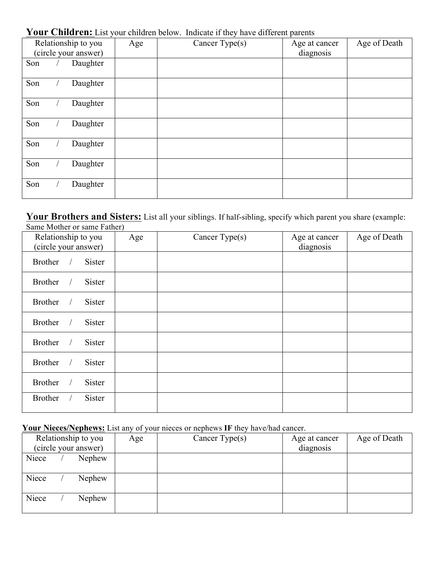|                      |  |                     |     | <b>Tour Christ Che Elot</b> your christen octobe. Thurcule it they have unferent parents |               |              |
|----------------------|--|---------------------|-----|------------------------------------------------------------------------------------------|---------------|--------------|
|                      |  | Relationship to you | Age | Cancer Type $(s)$                                                                        | Age at cancer | Age of Death |
| (circle your answer) |  |                     |     | diagnosis                                                                                |               |              |
|                      |  |                     |     |                                                                                          |               |              |
| Son                  |  | Daughter            |     |                                                                                          |               |              |
|                      |  |                     |     |                                                                                          |               |              |
| Son                  |  | Daughter            |     |                                                                                          |               |              |
|                      |  |                     |     |                                                                                          |               |              |
|                      |  |                     |     |                                                                                          |               |              |
| Son                  |  | Daughter            |     |                                                                                          |               |              |
|                      |  |                     |     |                                                                                          |               |              |
| Son                  |  | Daughter            |     |                                                                                          |               |              |
|                      |  |                     |     |                                                                                          |               |              |
|                      |  |                     |     |                                                                                          |               |              |
| Son                  |  | Daughter            |     |                                                                                          |               |              |
|                      |  |                     |     |                                                                                          |               |              |
| Son                  |  | Daughter            |     |                                                                                          |               |              |
|                      |  |                     |     |                                                                                          |               |              |
|                      |  |                     |     |                                                                                          |               |              |
| Son                  |  | Daughter            |     |                                                                                          |               |              |
|                      |  |                     |     |                                                                                          |               |              |
|                      |  |                     |     |                                                                                          |               |              |

### Your Children: List your children below. Indicate if they have different parents

**Your Brothers and Sisters:** List all your siblings. If half-sibling, specify which parent you share (example: Same Mother or same Father)

| $5.411$ $1.15$ $1.191$ $1.52$ $1.119$ $1.191$ $1.191$<br>Relationship to you<br>(circle your answer) | Age | Cancer Type(s) | Age at cancer<br>diagnosis | Age of Death |
|------------------------------------------------------------------------------------------------------|-----|----------------|----------------------------|--------------|
| <b>Brother</b><br>Sister<br>$\prime$                                                                 |     |                |                            |              |
| <b>Brother</b><br><b>Sister</b>                                                                      |     |                |                            |              |
| <b>Brother</b><br>Sister<br>$\prime$                                                                 |     |                |                            |              |
| <b>Brother</b><br><b>Sister</b><br>$\sqrt{2}$                                                        |     |                |                            |              |
| <b>Brother</b><br><b>Sister</b>                                                                      |     |                |                            |              |
| <b>Brother</b><br><b>Sister</b>                                                                      |     |                |                            |              |
| <b>Brother</b><br>Sister                                                                             |     |                |                            |              |
| <b>Brother</b><br>Sister                                                                             |     |                |                            |              |

### **Your Nieces/Nephews:** List any of your nieces or nephews **IF** they have/had cancer.

| Relationship to you<br>(circle your answer) | Age | Cancer Type $(s)$ | Age at cancer<br>diagnosis | Age of Death |
|---------------------------------------------|-----|-------------------|----------------------------|--------------|
| Niece<br>Nephew                             |     |                   |                            |              |
|                                             |     |                   |                            |              |
| Niece<br>Nephew                             |     |                   |                            |              |
|                                             |     |                   |                            |              |
| Niece<br>Nephew                             |     |                   |                            |              |
|                                             |     |                   |                            |              |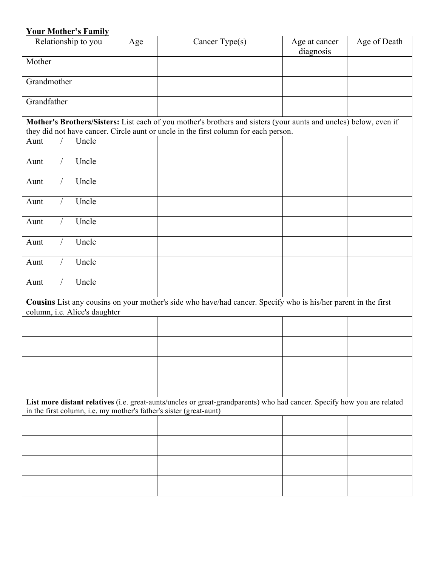# **Your Mother's Family**

| Relationship to you                                                                                                                                                                           | Age | Cancer Type(s)                                                                                                                                                                                          | Age at cancer<br>diagnosis | Age of Death |
|-----------------------------------------------------------------------------------------------------------------------------------------------------------------------------------------------|-----|---------------------------------------------------------------------------------------------------------------------------------------------------------------------------------------------------------|----------------------------|--------------|
| Mother                                                                                                                                                                                        |     |                                                                                                                                                                                                         |                            |              |
| Grandmother                                                                                                                                                                                   |     |                                                                                                                                                                                                         |                            |              |
| Grandfather                                                                                                                                                                                   |     |                                                                                                                                                                                                         |                            |              |
|                                                                                                                                                                                               |     | Mother's Brothers/Sisters: List each of you mother's brothers and sisters (your aunts and uncles) below, even if<br>they did not have cancer. Circle aunt or uncle in the first column for each person. |                            |              |
| Uncle<br>Aunt                                                                                                                                                                                 |     |                                                                                                                                                                                                         |                            |              |
| Uncle<br>Aunt                                                                                                                                                                                 |     |                                                                                                                                                                                                         |                            |              |
| Uncle<br>Aunt                                                                                                                                                                                 |     |                                                                                                                                                                                                         |                            |              |
| Uncle<br>Aunt                                                                                                                                                                                 |     |                                                                                                                                                                                                         |                            |              |
| Uncle<br>Aunt                                                                                                                                                                                 |     |                                                                                                                                                                                                         |                            |              |
| Uncle<br>Aunt                                                                                                                                                                                 |     |                                                                                                                                                                                                         |                            |              |
| Uncle<br>Aunt                                                                                                                                                                                 |     |                                                                                                                                                                                                         |                            |              |
| Uncle<br>Aunt                                                                                                                                                                                 |     |                                                                                                                                                                                                         |                            |              |
| column, i.e. Alice's daughter                                                                                                                                                                 |     | Cousins List any cousins on your mother's side who have/had cancer. Specify who is his/her parent in the first                                                                                          |                            |              |
|                                                                                                                                                                                               |     |                                                                                                                                                                                                         |                            |              |
|                                                                                                                                                                                               |     |                                                                                                                                                                                                         |                            |              |
|                                                                                                                                                                                               |     |                                                                                                                                                                                                         |                            |              |
|                                                                                                                                                                                               |     |                                                                                                                                                                                                         |                            |              |
| List more distant relatives (i.e. great-aunts/uncles or great-grandparents) who had cancer. Specify how you are related<br>in the first column, i.e. my mother's father's sister (great-aunt) |     |                                                                                                                                                                                                         |                            |              |
|                                                                                                                                                                                               |     |                                                                                                                                                                                                         |                            |              |
|                                                                                                                                                                                               |     |                                                                                                                                                                                                         |                            |              |
|                                                                                                                                                                                               |     |                                                                                                                                                                                                         |                            |              |
|                                                                                                                                                                                               |     |                                                                                                                                                                                                         |                            |              |